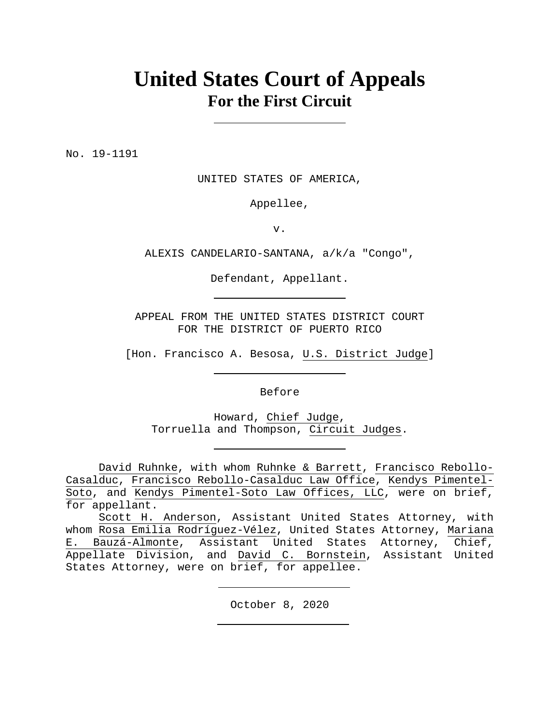# **United States Court of Appeals For the First Circuit**

No. 19-1191

UNITED STATES OF AMERICA,

Appellee,

v.

ALEXIS CANDELARIO-SANTANA, a/k/a "Congo",

Defendant, Appellant.

APPEAL FROM THE UNITED STATES DISTRICT COURT FOR THE DISTRICT OF PUERTO RICO

[Hon. Francisco A. Besosa, U.S. District Judge]

Before

Howard, Chief Judge, Torruella and Thompson, Circuit Judges.

David Ruhnke, with whom Ruhnke & Barrett, Francisco Rebollo-Casalduc, Francisco Rebollo-Casalduc Law Office, Kendys Pimentel-Soto, and Kendys Pimentel-Soto Law Offices, LLC, were on brief, for appellant.

Scott H. Anderson, Assistant United States Attorney, with whom Rosa Emilia Rodríguez-Vélez, United States Attorney, Mariana E. Bauzá-Almonte, Assistant United States Attorney, Chief, Appellate Division, and David C. Bornstein, Assistant United States Attorney, were on brief, for appellee.

October 8, 2020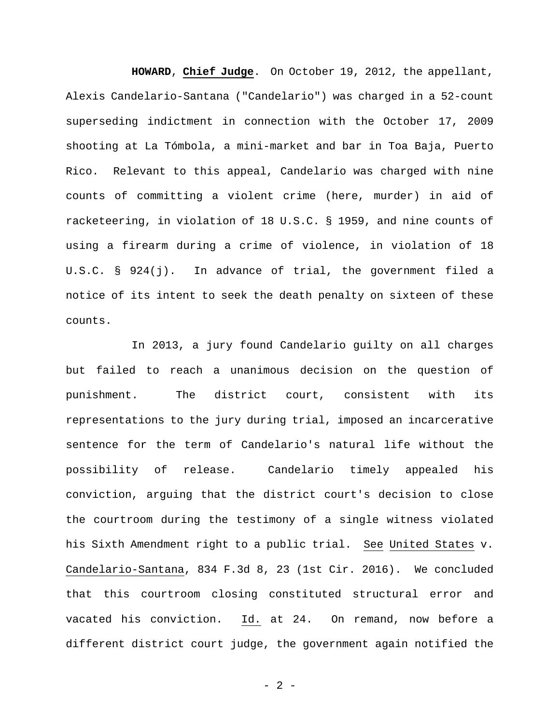**HOWARD**, **Chief Judge**. On October 19, 2012, the appellant, Alexis Candelario-Santana ("Candelario") was charged in a 52-count superseding indictment in connection with the October 17, 2009 shooting at La Tómbola, a mini-market and bar in Toa Baja, Puerto Rico. Relevant to this appeal, Candelario was charged with nine counts of committing a violent crime (here, murder) in aid of racketeering, in violation of 18 U.S.C. § 1959, and nine counts of using a firearm during a crime of violence, in violation of 18 U.S.C. § 924(j). In advance of trial, the government filed a notice of its intent to seek the death penalty on sixteen of these counts.

In 2013, a jury found Candelario guilty on all charges but failed to reach a unanimous decision on the question of punishment. The district court, consistent with its representations to the jury during trial, imposed an incarcerative sentence for the term of Candelario's natural life without the possibility of release. Candelario timely appealed his conviction, arguing that the district court's decision to close the courtroom during the testimony of a single witness violated his Sixth Amendment right to a public trial. See United States v. Candelario-Santana, 834 F.3d 8, 23 (1st Cir. 2016). We concluded that this courtroom closing constituted structural error and vacated his conviction. Id. at 24. On remand, now before a different district court judge, the government again notified the

- 2 -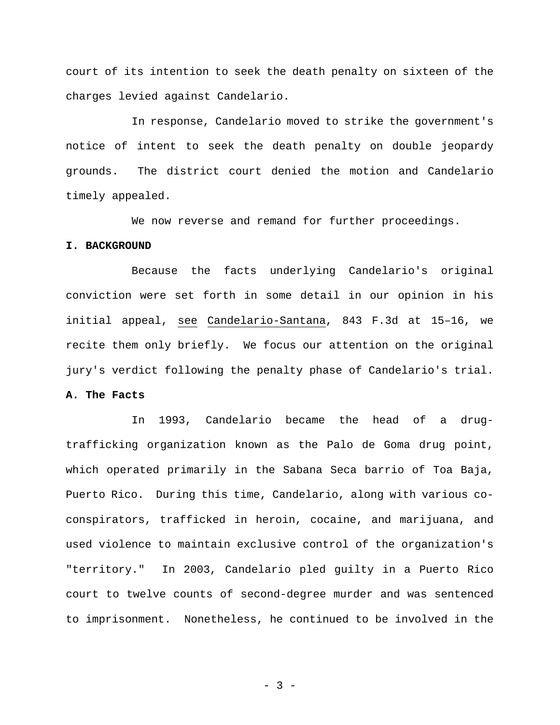court of its intention to seek the death penalty on sixteen of the charges levied against Candelario.

In response, Candelario moved to strike the government's notice of intent to seek the death penalty on double jeopardy grounds. The district court denied the motion and Candelario timely appealed.

We now reverse and remand for further proceedings.

#### **I. BACKGROUND**

Because the facts underlying Candelario's original conviction were set forth in some detail in our opinion in his initial appeal, see Candelario-Santana, 843 F.3d at 15–16, we recite them only briefly. We focus our attention on the original jury's verdict following the penalty phase of Candelario's trial.

## **A. The Facts**

In 1993, Candelario became the head of a drugtrafficking organization known as the Palo de Goma drug point, which operated primarily in the Sabana Seca barrio of Toa Baja, Puerto Rico. During this time, Candelario, along with various coconspirators, trafficked in heroin, cocaine, and marijuana, and used violence to maintain exclusive control of the organization's "territory." In 2003, Candelario pled guilty in a Puerto Rico court to twelve counts of second-degree murder and was sentenced to imprisonment. Nonetheless, he continued to be involved in the

- 3 -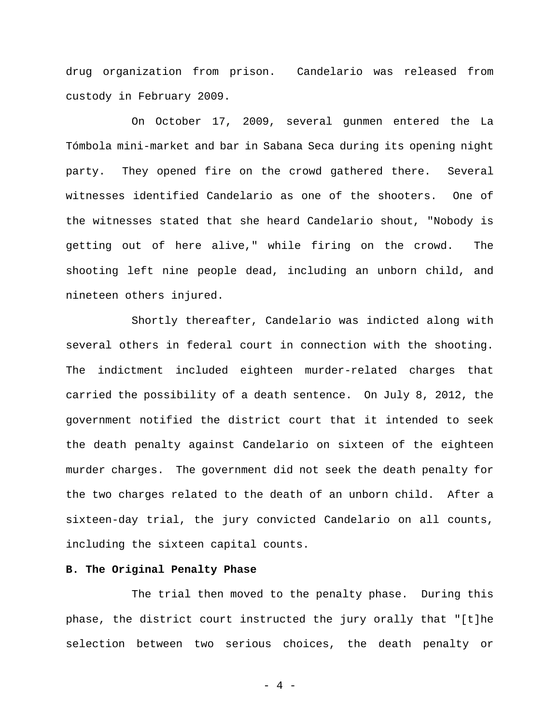drug organization from prison. Candelario was released from custody in February 2009.

On October 17, 2009, several gunmen entered the La Tómbola mini-market and bar in Sabana Seca during its opening night party. They opened fire on the crowd gathered there. Several witnesses identified Candelario as one of the shooters. One of the witnesses stated that she heard Candelario shout, "Nobody is getting out of here alive," while firing on the crowd. The shooting left nine people dead, including an unborn child, and nineteen others injured.

Shortly thereafter, Candelario was indicted along with several others in federal court in connection with the shooting. The indictment included eighteen murder-related charges that carried the possibility of a death sentence. On July 8, 2012, the government notified the district court that it intended to seek the death penalty against Candelario on sixteen of the eighteen murder charges. The government did not seek the death penalty for the two charges related to the death of an unborn child. After a sixteen-day trial, the jury convicted Candelario on all counts, including the sixteen capital counts.

### **B. The Original Penalty Phase**

The trial then moved to the penalty phase. During this phase, the district court instructed the jury orally that "[t]he selection between two serious choices, the death penalty or

- 4 -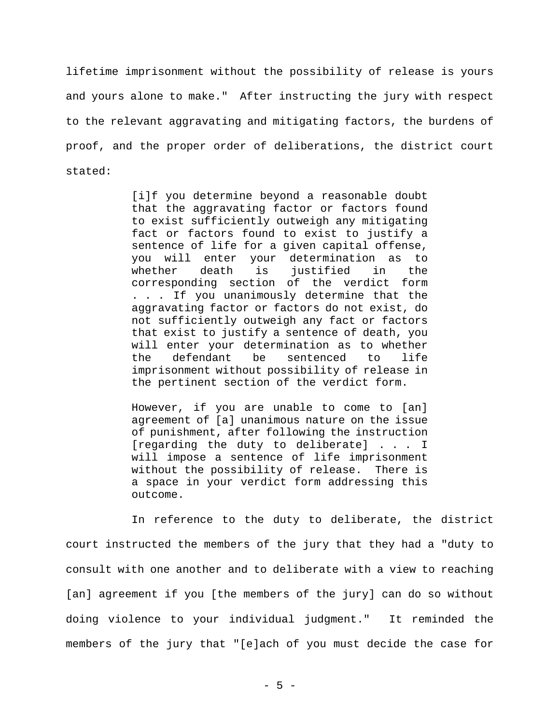lifetime imprisonment without the possibility of release is yours and yours alone to make." After instructing the jury with respect to the relevant aggravating and mitigating factors, the burdens of proof, and the proper order of deliberations, the district court stated:

> [i]f you determine beyond a reasonable doubt that the aggravating factor or factors found to exist sufficiently outweigh any mitigating fact or factors found to exist to justify a sentence of life for a given capital offense, you will enter your determination as to whether death is justified in the corresponding section of the verdict form . . . If you unanimously determine that the aggravating factor or factors do not exist, do not sufficiently outweigh any fact or factors that exist to justify a sentence of death, you will enter your determination as to whether the defendant be sentenced to life imprisonment without possibility of release in the pertinent section of the verdict form.

> However, if you are unable to come to [an] agreement of [a] unanimous nature on the issue of punishment, after following the instruction [regarding the duty to deliberate] . . . I will impose a sentence of life imprisonment without the possibility of release. There is a space in your verdict form addressing this outcome.

In reference to the duty to deliberate, the district court instructed the members of the jury that they had a "duty to consult with one another and to deliberate with a view to reaching [an] agreement if you [the members of the jury] can do so without doing violence to your individual judgment." It reminded the members of the jury that "[e]ach of you must decide the case for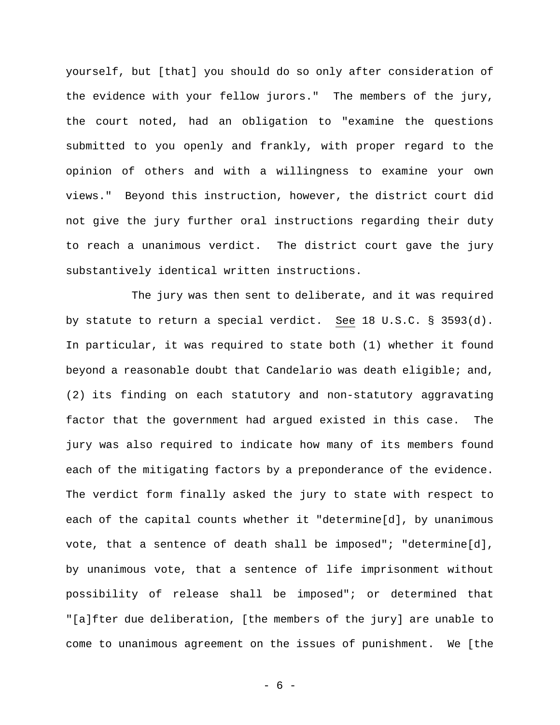yourself, but [that] you should do so only after consideration of the evidence with your fellow jurors." The members of the jury, the court noted, had an obligation to "examine the questions submitted to you openly and frankly, with proper regard to the opinion of others and with a willingness to examine your own views." Beyond this instruction, however, the district court did not give the jury further oral instructions regarding their duty to reach a unanimous verdict. The district court gave the jury substantively identical written instructions.

The jury was then sent to deliberate, and it was required by statute to return a special verdict. See 18 U.S.C. § 3593(d). In particular, it was required to state both (1) whether it found beyond a reasonable doubt that Candelario was death eligible; and, (2) its finding on each statutory and non-statutory aggravating factor that the government had argued existed in this case. The jury was also required to indicate how many of its members found each of the mitigating factors by a preponderance of the evidence. The verdict form finally asked the jury to state with respect to each of the capital counts whether it "determine[d], by unanimous vote, that a sentence of death shall be imposed"; "determine[d], by unanimous vote, that a sentence of life imprisonment without possibility of release shall be imposed"; or determined that "[a]fter due deliberation, [the members of the jury] are unable to come to unanimous agreement on the issues of punishment. We [the

- 6 -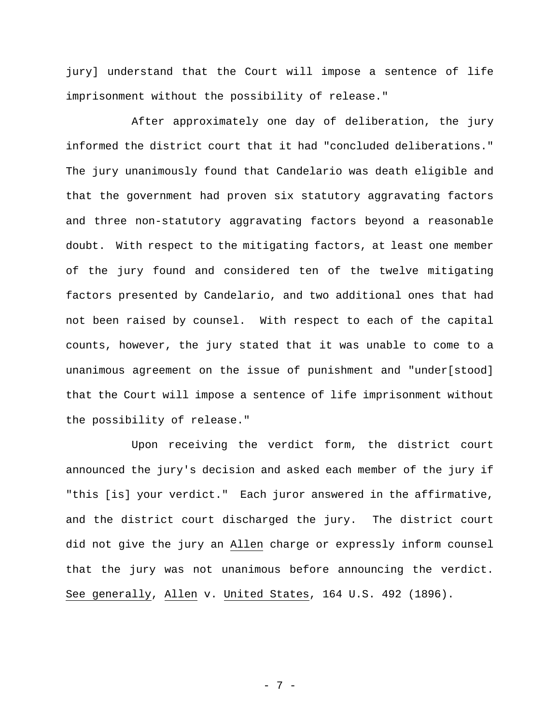jury] understand that the Court will impose a sentence of life imprisonment without the possibility of release."

After approximately one day of deliberation, the jury informed the district court that it had "concluded deliberations." The jury unanimously found that Candelario was death eligible and that the government had proven six statutory aggravating factors and three non-statutory aggravating factors beyond a reasonable doubt. With respect to the mitigating factors, at least one member of the jury found and considered ten of the twelve mitigating factors presented by Candelario, and two additional ones that had not been raised by counsel. With respect to each of the capital counts, however, the jury stated that it was unable to come to a unanimous agreement on the issue of punishment and "under[stood] that the Court will impose a sentence of life imprisonment without the possibility of release."

Upon receiving the verdict form, the district court announced the jury's decision and asked each member of the jury if "this [is] your verdict." Each juror answered in the affirmative, and the district court discharged the jury. The district court did not give the jury an Allen charge or expressly inform counsel that the jury was not unanimous before announcing the verdict. See generally, Allen v. United States, 164 U.S. 492 (1896).

- 7 -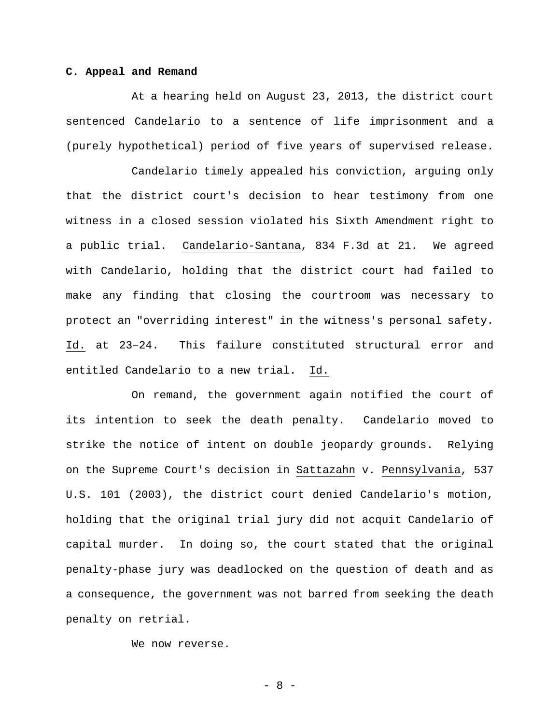#### **C. Appeal and Remand**

At a hearing held on August 23, 2013, the district court sentenced Candelario to a sentence of life imprisonment and a (purely hypothetical) period of five years of supervised release.

Candelario timely appealed his conviction, arguing only that the district court's decision to hear testimony from one witness in a closed session violated his Sixth Amendment right to a public trial. Candelario-Santana, 834 F.3d at 21. We agreed with Candelario, holding that the district court had failed to make any finding that closing the courtroom was necessary to protect an "overriding interest" in the witness's personal safety. Id. at 23–24. This failure constituted structural error and entitled Candelario to a new trial. Id.

On remand, the government again notified the court of its intention to seek the death penalty. Candelario moved to strike the notice of intent on double jeopardy grounds. Relying on the Supreme Court's decision in Sattazahn v. Pennsylvania, 537 U.S. 101 (2003), the district court denied Candelario's motion, holding that the original trial jury did not acquit Candelario of capital murder. In doing so, the court stated that the original penalty-phase jury was deadlocked on the question of death and as a consequence, the government was not barred from seeking the death penalty on retrial.

We now reverse.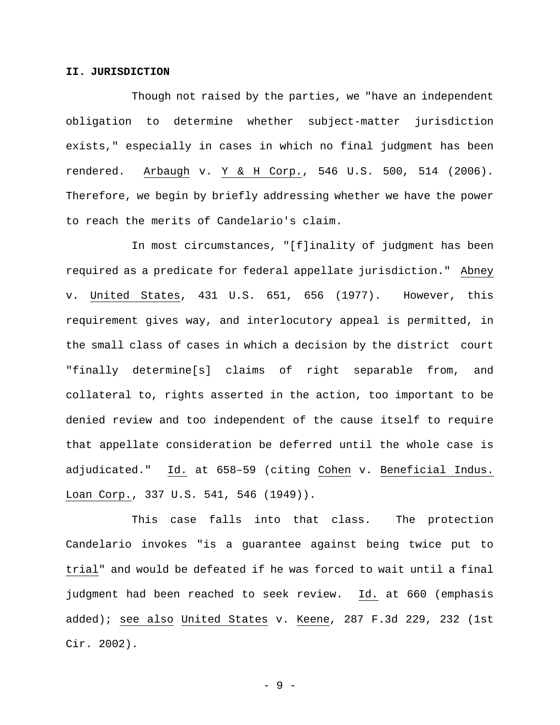#### **II. JURISDICTION**

Though not raised by the parties, we "have an independent obligation to determine whether subject-matter jurisdiction exists," especially in cases in which no final judgment has been rendered. Arbaugh v. Y & H Corp., 546 U.S. 500, 514 (2006). Therefore, we begin by briefly addressing whether we have the power to reach the merits of Candelario's claim.

In most circumstances, "[f]inality of judgment has been required as a predicate for federal appellate jurisdiction." Abney v. United States, 431 U.S. 651, 656 (1977). However, this requirement gives way, and interlocutory appeal is permitted, in the small class of cases in which a decision by the district court "finally determine[s] claims of right separable from, and collateral to, rights asserted in the action, too important to be denied review and too independent of the cause itself to require that appellate consideration be deferred until the whole case is adjudicated." Id. at 658–59 (citing Cohen v. Beneficial Indus. Loan Corp., 337 U.S. 541, 546 (1949)).

This case falls into that class. The protection Candelario invokes "is a guarantee against being twice put to trial" and would be defeated if he was forced to wait until a final judgment had been reached to seek review. Id. at 660 (emphasis added); see also United States v. Keene, 287 F.3d 229, 232 (1st Cir. 2002).

- 9 -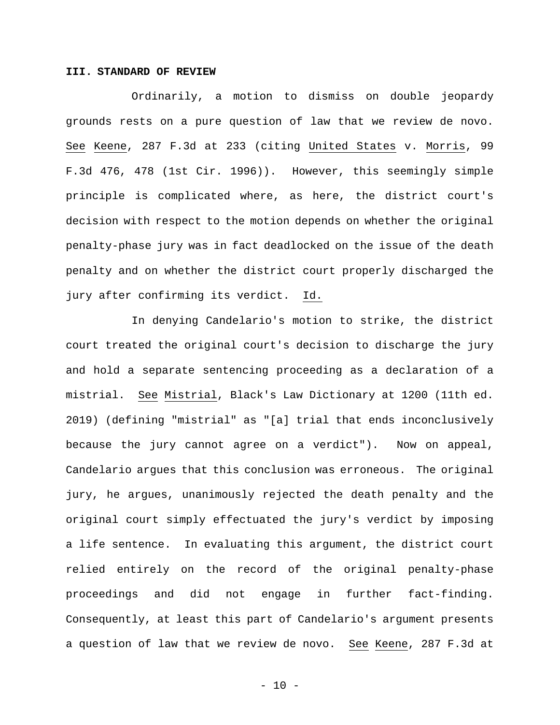#### **III. STANDARD OF REVIEW**

Ordinarily, a motion to dismiss on double jeopardy grounds rests on a pure question of law that we review de novo. See Keene, 287 F.3d at 233 (citing United States v. Morris, 99 F.3d 476, 478 (1st Cir. 1996)). However, this seemingly simple principle is complicated where, as here, the district court's decision with respect to the motion depends on whether the original penalty-phase jury was in fact deadlocked on the issue of the death penalty and on whether the district court properly discharged the jury after confirming its verdict. Id.

In denying Candelario's motion to strike, the district court treated the original court's decision to discharge the jury and hold a separate sentencing proceeding as a declaration of a mistrial. See Mistrial, Black's Law Dictionary at 1200 (11th ed. 2019) (defining "mistrial" as "[a] trial that ends inconclusively because the jury cannot agree on a verdict"). Now on appeal, Candelario argues that this conclusion was erroneous. The original jury, he argues, unanimously rejected the death penalty and the original court simply effectuated the jury's verdict by imposing a life sentence. In evaluating this argument, the district court relied entirely on the record of the original penalty-phase proceedings and did not engage in further fact-finding. Consequently, at least this part of Candelario's argument presents a question of law that we review de novo. See Keene, 287 F.3d at

 $- 10 -$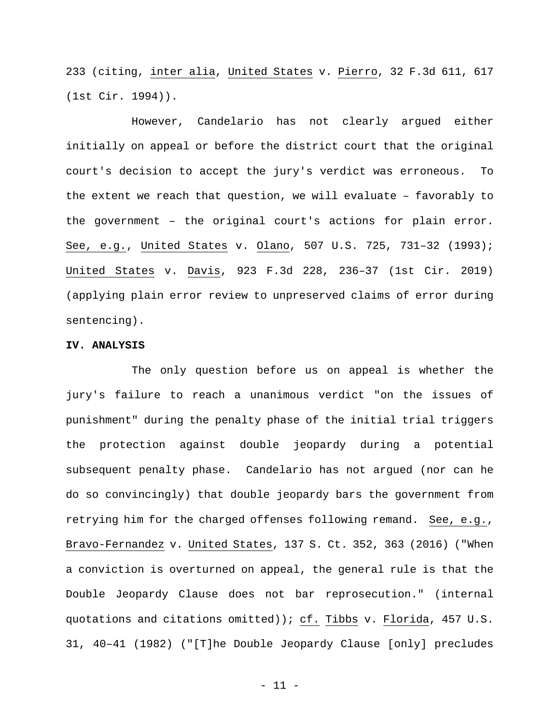233 (citing, inter alia, United States v. Pierro, 32 F.3d 611, 617 (1st Cir. 1994)).

However, Candelario has not clearly argued either initially on appeal or before the district court that the original court's decision to accept the jury's verdict was erroneous. To the extent we reach that question, we will evaluate – favorably to the government – the original court's actions for plain error. See, e.g., United States v. Olano, 507 U.S. 725, 731–32 (1993); United States v. Davis, 923 F.3d 228, 236–37 (1st Cir. 2019) (applying plain error review to unpreserved claims of error during sentencing).

#### **IV. ANALYSIS**

The only question before us on appeal is whether the jury's failure to reach a unanimous verdict "on the issues of punishment" during the penalty phase of the initial trial triggers the protection against double jeopardy during a potential subsequent penalty phase. Candelario has not argued (nor can he do so convincingly) that double jeopardy bars the government from retrying him for the charged offenses following remand. See, e.g., Bravo-Fernandez v. United States, 137 S. Ct. 352, 363 (2016) ("When a conviction is overturned on appeal, the general rule is that the Double Jeopardy Clause does not bar reprosecution." (internal quotations and citations omitted)); cf. Tibbs v. Florida, 457 U.S. 31, 40–41 (1982) ("[T]he Double Jeopardy Clause [only] precludes

- 11 -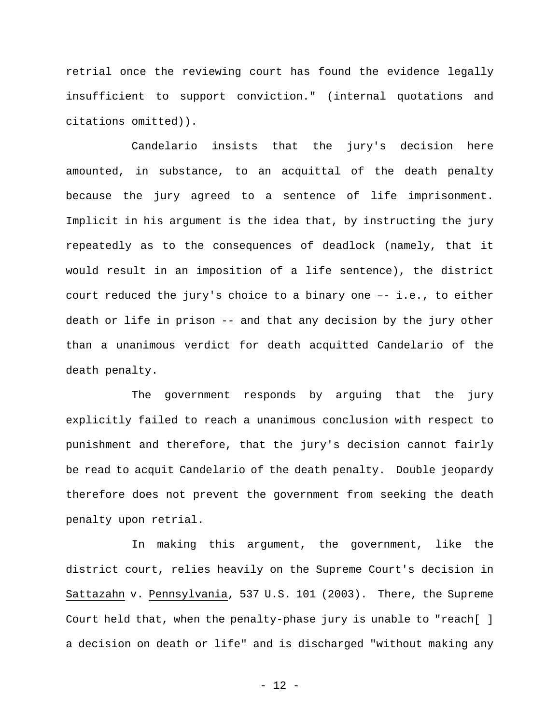retrial once the reviewing court has found the evidence legally insufficient to support conviction." (internal quotations and citations omitted)).

Candelario insists that the jury's decision here amounted, in substance, to an acquittal of the death penalty because the jury agreed to a sentence of life imprisonment. Implicit in his argument is the idea that, by instructing the jury repeatedly as to the consequences of deadlock (namely, that it would result in an imposition of a life sentence), the district court reduced the jury's choice to a binary one –- i.e., to either death or life in prison -- and that any decision by the jury other than a unanimous verdict for death acquitted Candelario of the death penalty.

The government responds by arguing that the jury explicitly failed to reach a unanimous conclusion with respect to punishment and therefore, that the jury's decision cannot fairly be read to acquit Candelario of the death penalty. Double jeopardy therefore does not prevent the government from seeking the death penalty upon retrial.

In making this argument, the government, like the district court, relies heavily on the Supreme Court's decision in Sattazahn v. Pennsylvania, 537 U.S. 101 (2003). There, the Supreme Court held that, when the penalty-phase jury is unable to "reach[ ] a decision on death or life" and is discharged "without making any

- 12 -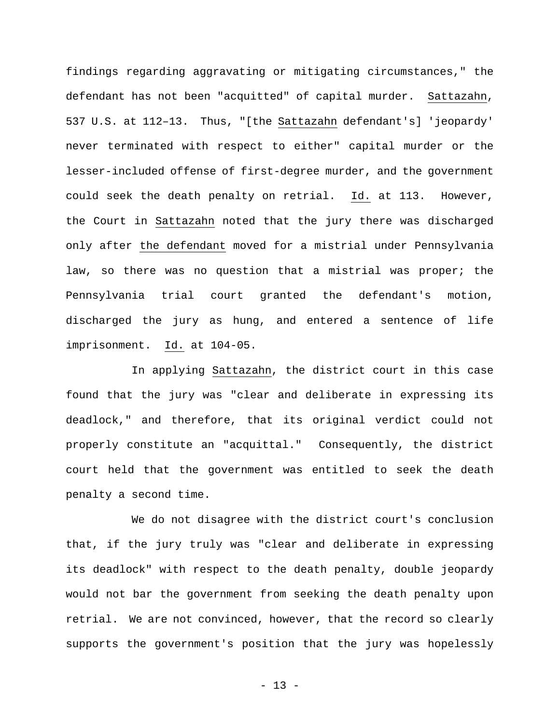findings regarding aggravating or mitigating circumstances," the defendant has not been "acquitted" of capital murder. Sattazahn, 537 U.S. at 112–13. Thus, "[the Sattazahn defendant's] 'jeopardy' never terminated with respect to either" capital murder or the lesser-included offense of first-degree murder, and the government could seek the death penalty on retrial. Id. at 113. However, the Court in Sattazahn noted that the jury there was discharged only after the defendant moved for a mistrial under Pennsylvania law, so there was no question that a mistrial was proper; the Pennsylvania trial court granted the defendant's motion, discharged the jury as hung, and entered a sentence of life imprisonment. Id. at 104-05.

In applying Sattazahn, the district court in this case found that the jury was "clear and deliberate in expressing its deadlock," and therefore, that its original verdict could not properly constitute an "acquittal." Consequently, the district court held that the government was entitled to seek the death penalty a second time.

We do not disagree with the district court's conclusion that, if the jury truly was "clear and deliberate in expressing its deadlock" with respect to the death penalty, double jeopardy would not bar the government from seeking the death penalty upon retrial. We are not convinced, however, that the record so clearly supports the government's position that the jury was hopelessly

- 13 -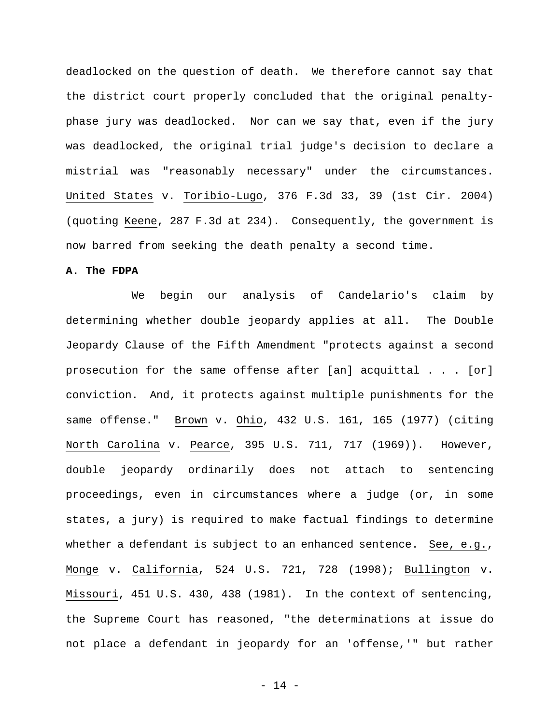deadlocked on the question of death. We therefore cannot say that the district court properly concluded that the original penaltyphase jury was deadlocked. Nor can we say that, even if the jury was deadlocked, the original trial judge's decision to declare a mistrial was "reasonably necessary" under the circumstances. United States v. Toribio-Lugo, 376 F.3d 33, 39 (1st Cir. 2004) (quoting Keene, 287 F.3d at 234). Consequently, the government is now barred from seeking the death penalty a second time.

#### **A. The FDPA**

We begin our analysis of Candelario's claim by determining whether double jeopardy applies at all. The Double Jeopardy Clause of the Fifth Amendment "protects against a second prosecution for the same offense after [an] acquittal . . . [or] conviction. And, it protects against multiple punishments for the same offense." Brown v. Ohio, 432 U.S. 161, 165 (1977) (citing North Carolina v. Pearce, 395 U.S. 711, 717 (1969)). However, double jeopardy ordinarily does not attach to sentencing proceedings, even in circumstances where a judge (or, in some states, a jury) is required to make factual findings to determine whether a defendant is subject to an enhanced sentence. See, e.g., Monge v. California, 524 U.S. 721, 728 (1998); Bullington v. Missouri, 451 U.S. 430, 438 (1981). In the context of sentencing, the Supreme Court has reasoned, "the determinations at issue do not place a defendant in jeopardy for an 'offense,'" but rather

- 14 -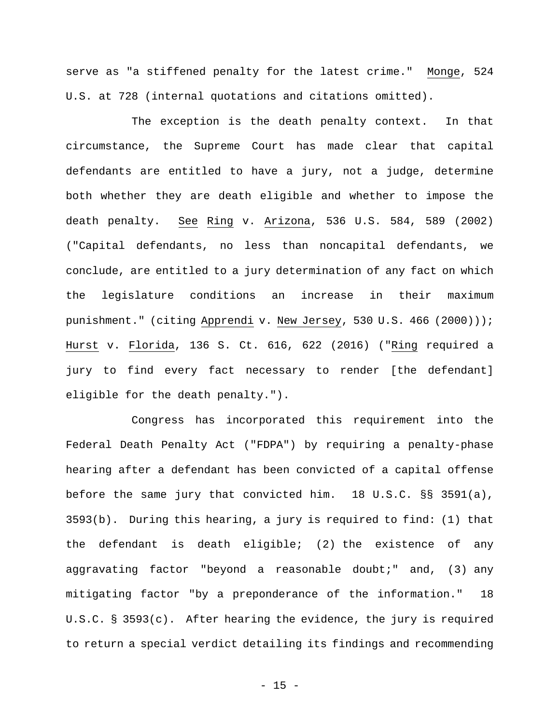serve as "a stiffened penalty for the latest crime." Monge, 524 U.S. at 728 (internal quotations and citations omitted).

The exception is the death penalty context. In that circumstance, the Supreme Court has made clear that capital defendants are entitled to have a jury, not a judge, determine both whether they are death eligible and whether to impose the death penalty. See Ring v. Arizona, 536 U.S. 584, 589 (2002) ("Capital defendants, no less than noncapital defendants, we conclude, are entitled to a jury determination of any fact on which the legislature conditions an increase in their maximum punishment." (citing Apprendi v. New Jersey, 530 U.S. 466 (2000))); Hurst v. Florida, 136 S. Ct. 616, 622 (2016) ("Ring required a jury to find every fact necessary to render [the defendant] eligible for the death penalty.").

Congress has incorporated this requirement into the Federal Death Penalty Act ("FDPA") by requiring a penalty-phase hearing after a defendant has been convicted of a capital offense before the same jury that convicted him. 18 U.S.C. §§ 3591(a), 3593(b). During this hearing, a jury is required to find: (1) that the defendant is death eligible; (2) the existence of any aggravating factor "beyond a reasonable doubt;" and, (3) any mitigating factor "by a preponderance of the information." 18 U.S.C. § 3593(c). After hearing the evidence, the jury is required to return a special verdict detailing its findings and recommending

 $- 15 -$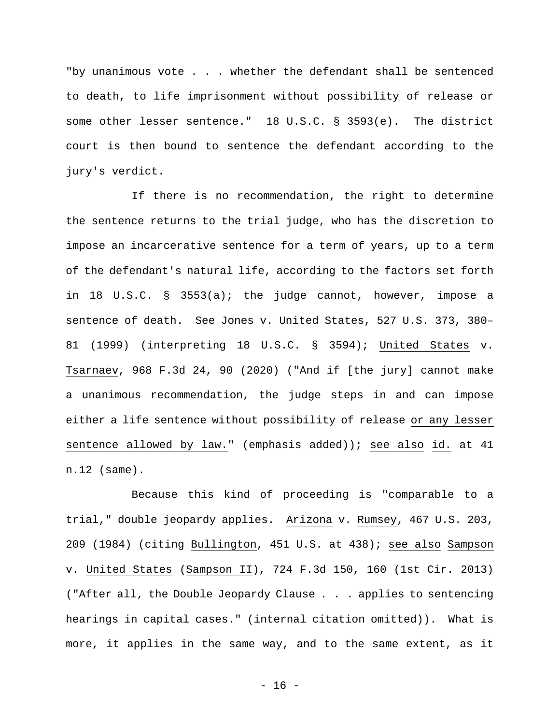"by unanimous vote . . . whether the defendant shall be sentenced to death, to life imprisonment without possibility of release or some other lesser sentence." 18 U.S.C. § 3593(e). The district court is then bound to sentence the defendant according to the jury's verdict.

If there is no recommendation, the right to determine the sentence returns to the trial judge, who has the discretion to impose an incarcerative sentence for a term of years, up to a term of the defendant's natural life, according to the factors set forth in 18 U.S.C. § 3553(a); the judge cannot, however, impose a sentence of death. See Jones v. United States, 527 U.S. 373, 380– 81 (1999) (interpreting 18 U.S.C. § 3594); United States v. Tsarnaev, 968 F.3d 24, 90 (2020) ("And if [the jury] cannot make a unanimous recommendation, the judge steps in and can impose either a life sentence without possibility of release or any lesser sentence allowed by law." (emphasis added)); see also id. at 41 n.12 (same).

Because this kind of proceeding is "comparable to a trial," double jeopardy applies. Arizona v. Rumsey, 467 U.S. 203, 209 (1984) (citing Bullington, 451 U.S. at 438); see also Sampson v. United States (Sampson II), 724 F.3d 150, 160 (1st Cir. 2013) ("After all, the Double Jeopardy Clause . . . applies to sentencing hearings in capital cases." (internal citation omitted)). What is more, it applies in the same way, and to the same extent, as it

- 16 -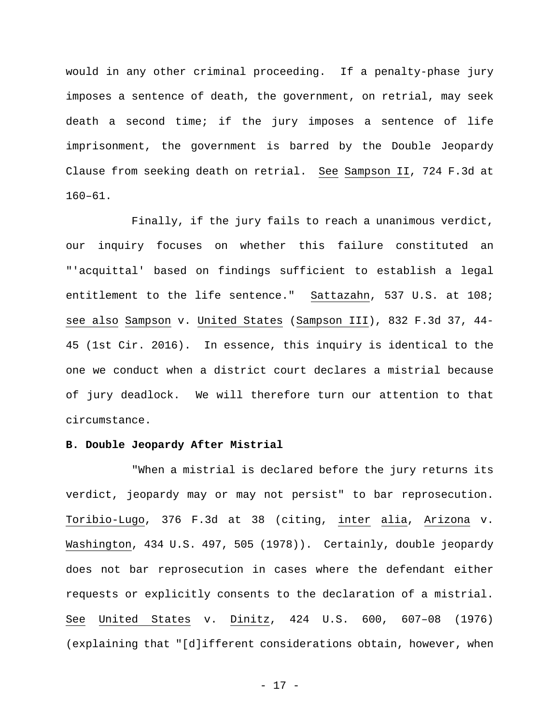would in any other criminal proceeding. If a penalty-phase jury imposes a sentence of death, the government, on retrial, may seek death a second time; if the jury imposes a sentence of life imprisonment, the government is barred by the Double Jeopardy Clause from seeking death on retrial. See Sampson II, 724 F.3d at 160–61.

Finally, if the jury fails to reach a unanimous verdict, our inquiry focuses on whether this failure constituted an "'acquittal' based on findings sufficient to establish a legal entitlement to the life sentence." Sattazahn, 537 U.S. at 108; see also Sampson v. United States (Sampson III), 832 F.3d 37, 44- 45 (1st Cir. 2016). In essence, this inquiry is identical to the one we conduct when a district court declares a mistrial because of jury deadlock. We will therefore turn our attention to that circumstance.

#### **B. Double Jeopardy After Mistrial**

"When a mistrial is declared before the jury returns its verdict, jeopardy may or may not persist" to bar reprosecution. Toribio-Lugo, 376 F.3d at 38 (citing, inter alia, Arizona v. Washington, 434 U.S. 497, 505 (1978)). Certainly, double jeopardy does not bar reprosecution in cases where the defendant either requests or explicitly consents to the declaration of a mistrial. See United States v. Dinitz, 424 U.S. 600, 607–08 (1976) (explaining that "[d]ifferent considerations obtain, however, when

- 17 -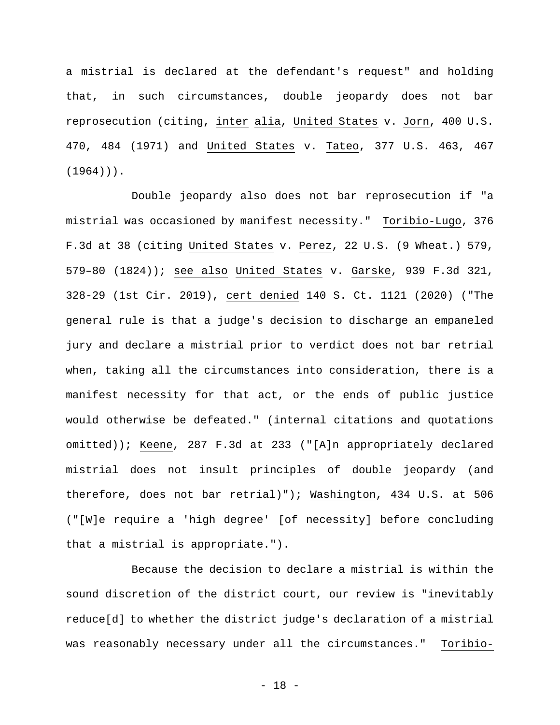a mistrial is declared at the defendant's request" and holding that, in such circumstances, double jeopardy does not bar reprosecution (citing, inter alia, United States v. Jorn, 400 U.S. 470, 484 (1971) and United States v. Tateo, 377 U.S. 463, 467  $(1964)$ ).

Double jeopardy also does not bar reprosecution if "a mistrial was occasioned by manifest necessity." Toribio-Lugo, 376 F.3d at 38 (citing United States v. Perez, 22 U.S. (9 Wheat.) 579, 579–80 (1824)); see also United States v. Garske, 939 F.3d 321, 328-29 (1st Cir. 2019), cert denied 140 S. Ct. 1121 (2020) ("The general rule is that a judge's decision to discharge an empaneled jury and declare a mistrial prior to verdict does not bar retrial when, taking all the circumstances into consideration, there is a manifest necessity for that act, or the ends of public justice would otherwise be defeated." (internal citations and quotations omitted)); Keene, 287 F.3d at 233 ("[A]n appropriately declared mistrial does not insult principles of double jeopardy (and therefore, does not bar retrial)"); Washington, 434 U.S. at 506 ("[W]e require a 'high degree' [of necessity] before concluding that a mistrial is appropriate.").

Because the decision to declare a mistrial is within the sound discretion of the district court, our review is "inevitably reduce[d] to whether the district judge's declaration of a mistrial was reasonably necessary under all the circumstances." Toribio-

- 18 -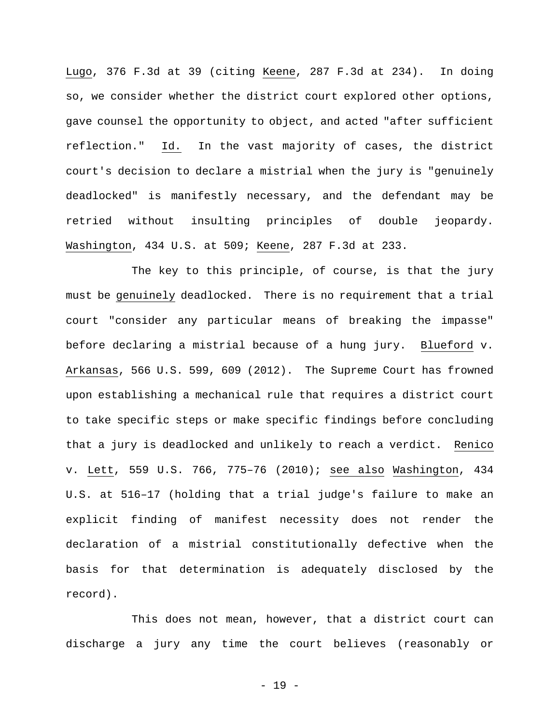Lugo, 376 F.3d at 39 (citing Keene, 287 F.3d at 234). In doing so, we consider whether the district court explored other options, gave counsel the opportunity to object, and acted "after sufficient reflection." Id. In the vast majority of cases, the district court's decision to declare a mistrial when the jury is "genuinely deadlocked" is manifestly necessary, and the defendant may be retried without insulting principles of double jeopardy. Washington, 434 U.S. at 509; Keene, 287 F.3d at 233.

The key to this principle, of course, is that the jury must be genuinely deadlocked. There is no requirement that a trial court "consider any particular means of breaking the impasse" before declaring a mistrial because of a hung jury. Blueford v. Arkansas, 566 U.S. 599, 609 (2012). The Supreme Court has frowned upon establishing a mechanical rule that requires a district court to take specific steps or make specific findings before concluding that a jury is deadlocked and unlikely to reach a verdict. Renico v. Lett, 559 U.S. 766, 775–76 (2010); see also Washington, 434 U.S. at 516–17 (holding that a trial judge's failure to make an explicit finding of manifest necessity does not render the declaration of a mistrial constitutionally defective when the basis for that determination is adequately disclosed by the record).

This does not mean, however, that a district court can discharge a jury any time the court believes (reasonably or

- 19 -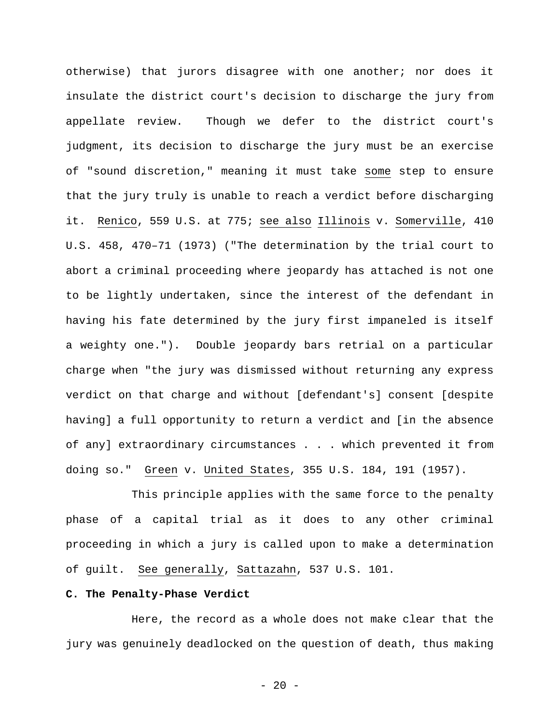otherwise) that jurors disagree with one another; nor does it insulate the district court's decision to discharge the jury from appellate review. Though we defer to the district court's judgment, its decision to discharge the jury must be an exercise of "sound discretion," meaning it must take some step to ensure that the jury truly is unable to reach a verdict before discharging it. Renico, 559 U.S. at 775; see also Illinois v. Somerville, 410 U.S. 458, 470–71 (1973) ("The determination by the trial court to abort a criminal proceeding where jeopardy has attached is not one to be lightly undertaken, since the interest of the defendant in having his fate determined by the jury first impaneled is itself a weighty one."). Double jeopardy bars retrial on a particular charge when "the jury was dismissed without returning any express verdict on that charge and without [defendant's] consent [despite having] a full opportunity to return a verdict and [in the absence of any] extraordinary circumstances . . . which prevented it from doing so." Green v. United States, 355 U.S. 184, 191 (1957).

This principle applies with the same force to the penalty phase of a capital trial as it does to any other criminal proceeding in which a jury is called upon to make a determination of guilt. See generally, Sattazahn, 537 U.S. 101.

## **C. The Penalty-Phase Verdict**

Here, the record as a whole does not make clear that the jury was genuinely deadlocked on the question of death, thus making

 $- 20 -$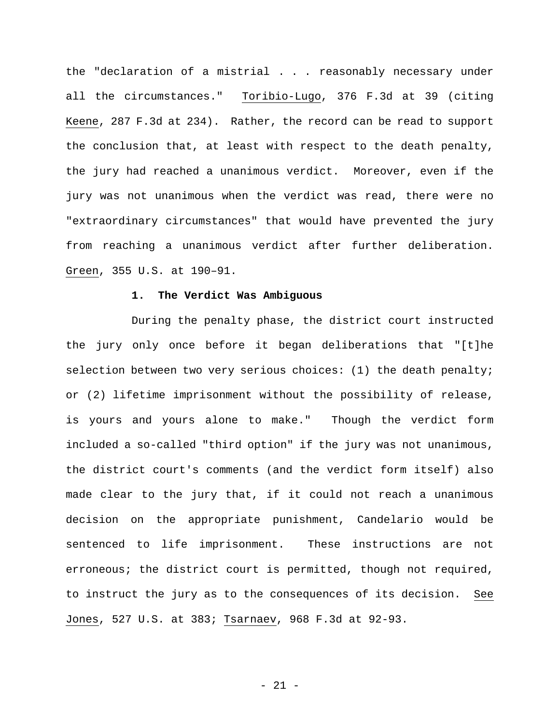the "declaration of a mistrial . . . reasonably necessary under all the circumstances." Toribio-Lugo, 376 F.3d at 39 (citing Keene, 287 F.3d at 234). Rather, the record can be read to support the conclusion that, at least with respect to the death penalty, the jury had reached a unanimous verdict. Moreover, even if the jury was not unanimous when the verdict was read, there were no "extraordinary circumstances" that would have prevented the jury from reaching a unanimous verdict after further deliberation. Green, 355 U.S. at 190–91.

#### **1. The Verdict Was Ambiguous**

During the penalty phase, the district court instructed the jury only once before it began deliberations that "[t]he selection between two very serious choices: (1) the death penalty; or (2) lifetime imprisonment without the possibility of release, is yours and yours alone to make." Though the verdict form included a so-called "third option" if the jury was not unanimous, the district court's comments (and the verdict form itself) also made clear to the jury that, if it could not reach a unanimous decision on the appropriate punishment, Candelario would be sentenced to life imprisonment. These instructions are not erroneous; the district court is permitted, though not required, to instruct the jury as to the consequences of its decision. See Jones, 527 U.S. at 383; Tsarnaev, 968 F.3d at 92-93.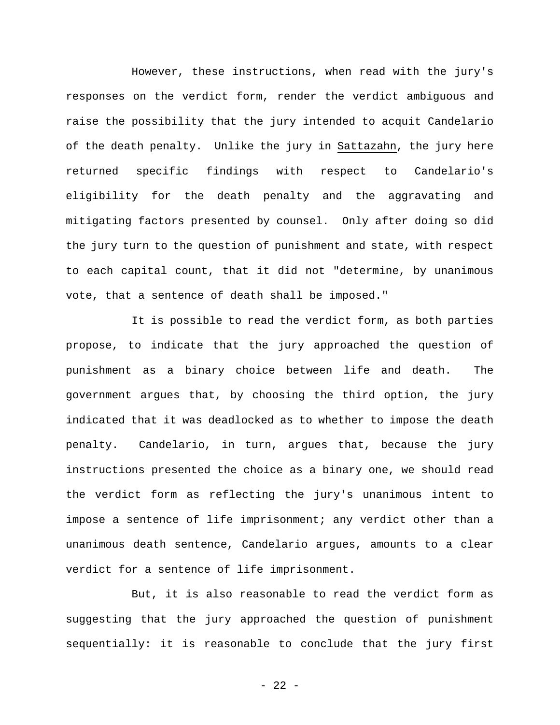However, these instructions, when read with the jury's responses on the verdict form, render the verdict ambiguous and raise the possibility that the jury intended to acquit Candelario of the death penalty. Unlike the jury in Sattazahn, the jury here returned specific findings with respect to Candelario's eligibility for the death penalty and the aggravating and mitigating factors presented by counsel. Only after doing so did the jury turn to the question of punishment and state, with respect to each capital count, that it did not "determine, by unanimous vote, that a sentence of death shall be imposed."

It is possible to read the verdict form, as both parties propose, to indicate that the jury approached the question of punishment as a binary choice between life and death. The government argues that, by choosing the third option, the jury indicated that it was deadlocked as to whether to impose the death penalty. Candelario, in turn, argues that, because the jury instructions presented the choice as a binary one, we should read the verdict form as reflecting the jury's unanimous intent to impose a sentence of life imprisonment; any verdict other than a unanimous death sentence, Candelario argues, amounts to a clear verdict for a sentence of life imprisonment.

But, it is also reasonable to read the verdict form as suggesting that the jury approached the question of punishment sequentially: it is reasonable to conclude that the jury first

- 22 -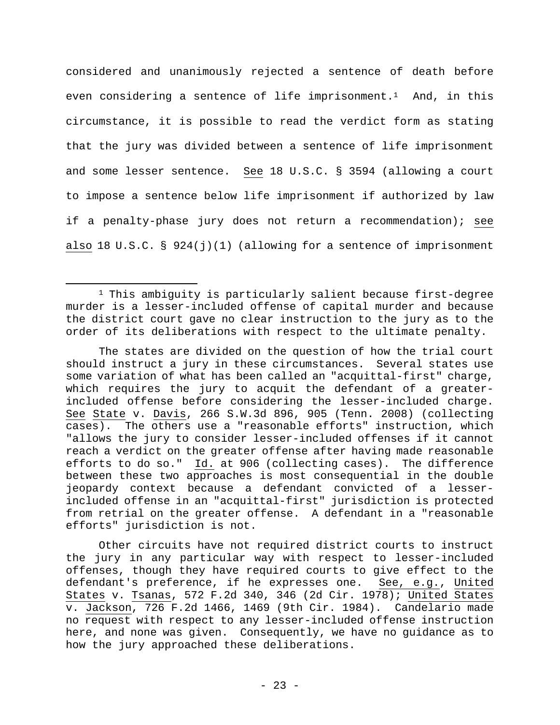considered and unanimously rejected a sentence of death before even considering a sentence of life imprisonment.<sup>1</sup> And, in this circumstance, it is possible to read the verdict form as stating that the jury was divided between a sentence of life imprisonment and some lesser sentence. See 18 U.S.C. § 3594 (allowing a court to impose a sentence below life imprisonment if authorized by law if a penalty-phase jury does not return a recommendation); see also 18 U.S.C. § 924(j)(1) (allowing for a sentence of imprisonment

1 This ambiguity is particularly salient because first-degree murder is a lesser-included offense of capital murder and because the district court gave no clear instruction to the jury as to the order of its deliberations with respect to the ultimate penalty.

The states are divided on the question of how the trial court should instruct a jury in these circumstances. Several states use some variation of what has been called an "acquittal-first" charge, which requires the jury to acquit the defendant of a greaterincluded offense before considering the lesser-included charge. See State v. Davis, 266 S.W.3d 896, 905 (Tenn. 2008) (collecting cases). The others use a "reasonable efforts" instruction, which "allows the jury to consider lesser-included offenses if it cannot reach a verdict on the greater offense after having made reasonable efforts to do so." Id. at 906 (collecting cases). The difference between these two approaches is most consequential in the double jeopardy context because a defendant convicted of a lesserincluded offense in an "acquittal-first" jurisdiction is protected from retrial on the greater offense. A defendant in a "reasonable efforts" jurisdiction is not.

Other circuits have not required district courts to instruct the jury in any particular way with respect to lesser-included offenses, though they have required courts to give effect to the defendant's preference, if he expresses one. See, e.g., United States v. Tsanas, 572 F.2d 340, 346 (2d Cir. 1978); United States v. Jackson, 726 F.2d 1466, 1469 (9th Cir. 1984). Candelario made no request with respect to any lesser-included offense instruction here, and none was given. Consequently, we have no guidance as to how the jury approached these deliberations.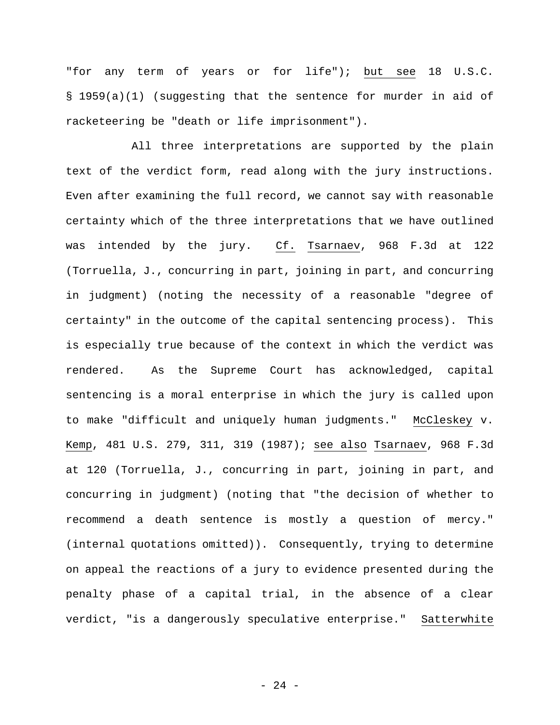"for any term of years or for life"); but see 18 U.S.C. § 1959(a)(1) (suggesting that the sentence for murder in aid of racketeering be "death or life imprisonment").

All three interpretations are supported by the plain text of the verdict form, read along with the jury instructions. Even after examining the full record, we cannot say with reasonable certainty which of the three interpretations that we have outlined was intended by the jury. Cf. Tsarnaev, 968 F.3d at 122 (Torruella, J., concurring in part, joining in part, and concurring in judgment) (noting the necessity of a reasonable "degree of certainty" in the outcome of the capital sentencing process). This is especially true because of the context in which the verdict was rendered. As the Supreme Court has acknowledged, capital sentencing is a moral enterprise in which the jury is called upon to make "difficult and uniquely human judgments." McCleskey v. Kemp, 481 U.S. 279, 311, 319 (1987); see also Tsarnaev, 968 F.3d at 120 (Torruella, J., concurring in part, joining in part, and concurring in judgment) (noting that "the decision of whether to recommend a death sentence is mostly a question of mercy." (internal quotations omitted)). Consequently, trying to determine on appeal the reactions of a jury to evidence presented during the penalty phase of a capital trial, in the absence of a clear verdict, "is a dangerously speculative enterprise." Satterwhite

- 24 -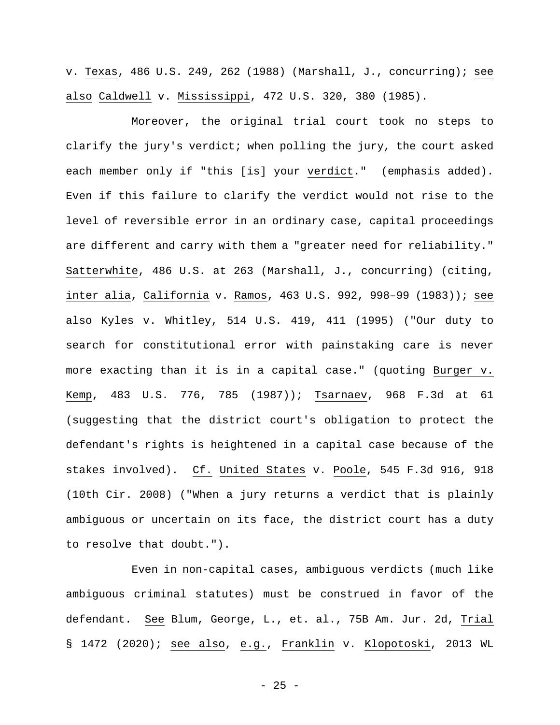v. Texas, 486 U.S. 249, 262 (1988) (Marshall, J., concurring); see also Caldwell v. Mississippi, 472 U.S. 320, 380 (1985).

Moreover, the original trial court took no steps to clarify the jury's verdict; when polling the jury, the court asked each member only if "this [is] your verdict." (emphasis added). Even if this failure to clarify the verdict would not rise to the level of reversible error in an ordinary case, capital proceedings are different and carry with them a "greater need for reliability." Satterwhite, 486 U.S. at 263 (Marshall, J., concurring) (citing, inter alia, California v. Ramos, 463 U.S. 992, 998–99 (1983)); see also Kyles v. Whitley, 514 U.S. 419, 411 (1995) ("Our duty to search for constitutional error with painstaking care is never more exacting than it is in a capital case." (quoting Burger v. Kemp, 483 U.S. 776, 785 (1987)); Tsarnaev, 968 F.3d at 61 (suggesting that the district court's obligation to protect the defendant's rights is heightened in a capital case because of the stakes involved). Cf. United States v. Poole, 545 F.3d 916, 918 (10th Cir. 2008) ("When a jury returns a verdict that is plainly ambiguous or uncertain on its face, the district court has a duty to resolve that doubt.").

Even in non-capital cases, ambiguous verdicts (much like ambiguous criminal statutes) must be construed in favor of the defendant. See Blum, George, L., et. al., 75B Am. Jur. 2d, Trial § 1472 (2020); see also, e.g., Franklin v. Klopotoski, 2013 WL

 $- 25 -$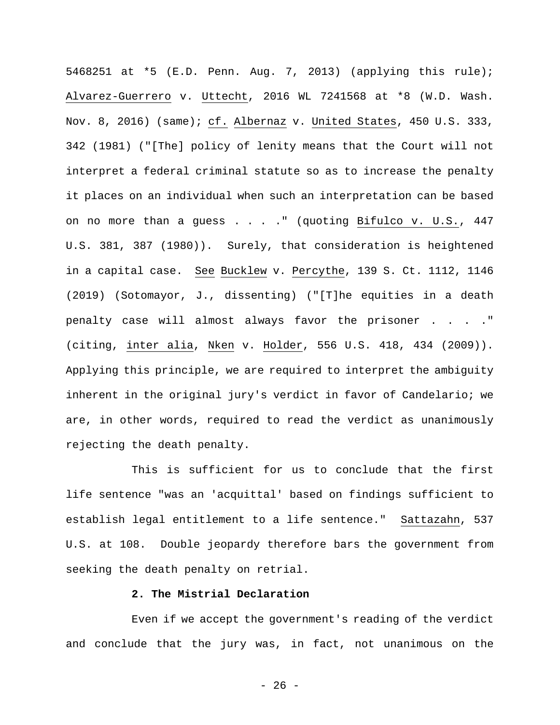5468251 at \*5 (E.D. Penn. Aug. 7, 2013) (applying this rule); Alvarez-Guerrero v. Uttecht, 2016 WL 7241568 at \*8 (W.D. Wash. Nov. 8, 2016) (same); cf. Albernaz v. United States, 450 U.S. 333, 342 (1981) ("[The] policy of lenity means that the Court will not interpret a federal criminal statute so as to increase the penalty it places on an individual when such an interpretation can be based on no more than a guess . . . . " (quoting Bifulco v. U.S., 447 U.S. 381, 387 (1980)). Surely, that consideration is heightened in a capital case. See Bucklew v. Percythe, 139 S. Ct. 1112, 1146 (2019) (Sotomayor, J., dissenting) ("[T]he equities in a death penalty case will almost always favor the prisoner . . . ." (citing, inter alia, Nken v. Holder, 556 U.S. 418, 434 (2009)). Applying this principle, we are required to interpret the ambiguity inherent in the original jury's verdict in favor of Candelario; we are, in other words, required to read the verdict as unanimously rejecting the death penalty.

This is sufficient for us to conclude that the first life sentence "was an 'acquittal' based on findings sufficient to establish legal entitlement to a life sentence." Sattazahn, 537 U.S. at 108. Double jeopardy therefore bars the government from seeking the death penalty on retrial.

## **2. The Mistrial Declaration**

Even if we accept the government's reading of the verdict and conclude that the jury was, in fact, not unanimous on the

 $- 26 -$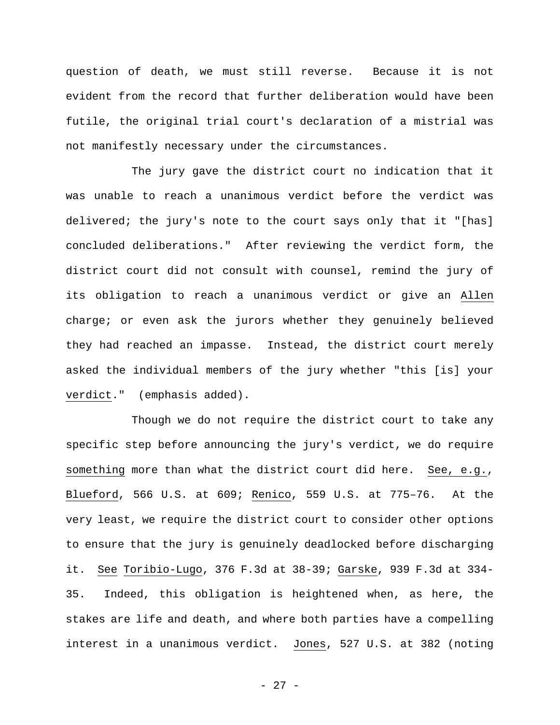question of death, we must still reverse. Because it is not evident from the record that further deliberation would have been futile, the original trial court's declaration of a mistrial was not manifestly necessary under the circumstances.

The jury gave the district court no indication that it was unable to reach a unanimous verdict before the verdict was delivered; the jury's note to the court says only that it "[has] concluded deliberations." After reviewing the verdict form, the district court did not consult with counsel, remind the jury of its obligation to reach a unanimous verdict or give an Allen charge; or even ask the jurors whether they genuinely believed they had reached an impasse. Instead, the district court merely asked the individual members of the jury whether "this [is] your verdict." (emphasis added).

Though we do not require the district court to take any specific step before announcing the jury's verdict, we do require something more than what the district court did here. See, e.g., Blueford, 566 U.S. at 609; Renico, 559 U.S. at 775–76. At the very least, we require the district court to consider other options to ensure that the jury is genuinely deadlocked before discharging it. See Toribio-Lugo, 376 F.3d at 38-39; Garske, 939 F.3d at 334- 35. Indeed, this obligation is heightened when, as here, the stakes are life and death, and where both parties have a compelling interest in a unanimous verdict. Jones, 527 U.S. at 382 (noting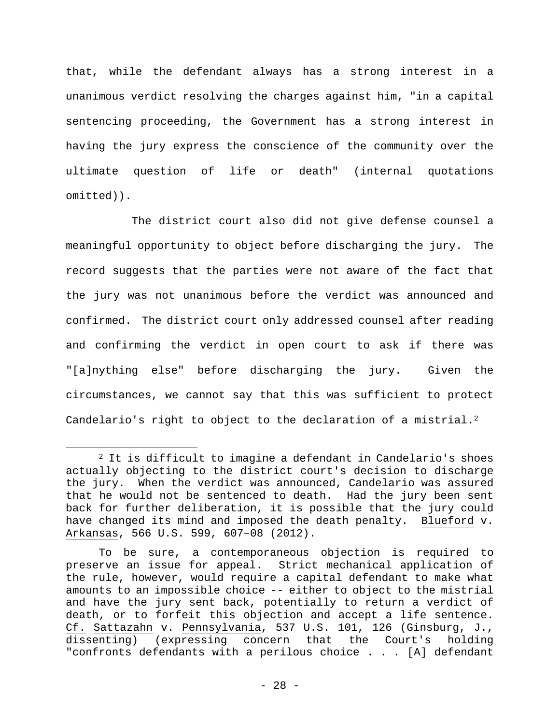that, while the defendant always has a strong interest in a unanimous verdict resolving the charges against him, "in a capital sentencing proceeding, the Government has a strong interest in having the jury express the conscience of the community over the ultimate question of life or death" (internal quotations omitted)).

The district court also did not give defense counsel a meaningful opportunity to object before discharging the jury. The record suggests that the parties were not aware of the fact that the jury was not unanimous before the verdict was announced and confirmed. The district court only addressed counsel after reading and confirming the verdict in open court to ask if there was "[a]nything else" before discharging the jury. Given the circumstances, we cannot say that this was sufficient to protect Candelario's right to object to the declaration of a mistrial.<sup>2</sup>

<sup>&</sup>lt;sup>2</sup> It is difficult to imagine a defendant in Candelario's shoes actually objecting to the district court's decision to discharge the jury. When the verdict was announced, Candelario was assured that he would not be sentenced to death. Had the jury been sent back for further deliberation, it is possible that the jury could have changed its mind and imposed the death penalty. Blueford v. Arkansas, 566 U.S. 599, 607–08 (2012).

To be sure, a contemporaneous objection is required to preserve an issue for appeal. Strict mechanical application of the rule, however, would require a capital defendant to make what amounts to an impossible choice -- either to object to the mistrial and have the jury sent back, potentially to return a verdict of death, or to forfeit this objection and accept a life sentence. Cf. Sattazahn v. Pennsylvania, 537 U.S. 101, 126 (Ginsburg, J., dissenting) (expressing concern that the Court's holding "confronts defendants with a perilous choice . . . [A] defendant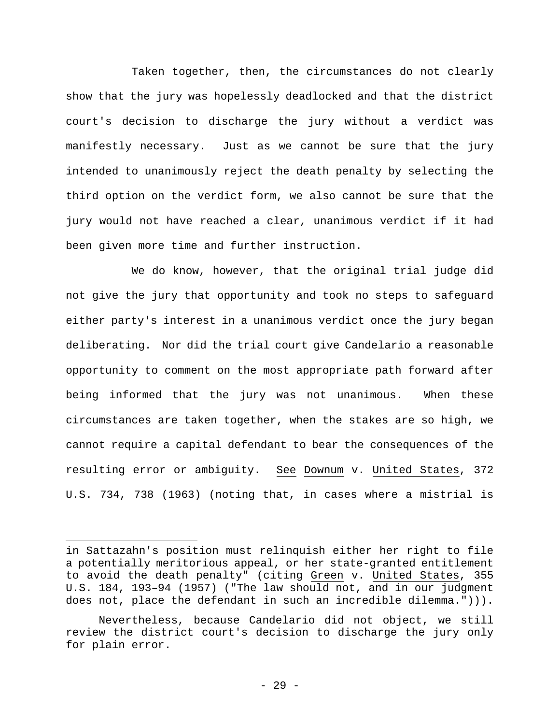Taken together, then, the circumstances do not clearly show that the jury was hopelessly deadlocked and that the district court's decision to discharge the jury without a verdict was manifestly necessary. Just as we cannot be sure that the jury intended to unanimously reject the death penalty by selecting the third option on the verdict form, we also cannot be sure that the jury would not have reached a clear, unanimous verdict if it had been given more time and further instruction.

We do know, however, that the original trial judge did not give the jury that opportunity and took no steps to safeguard either party's interest in a unanimous verdict once the jury began deliberating. Nor did the trial court give Candelario a reasonable opportunity to comment on the most appropriate path forward after being informed that the jury was not unanimous. When these circumstances are taken together, when the stakes are so high, we cannot require a capital defendant to bear the consequences of the resulting error or ambiguity. See Downum v. United States, 372 U.S. 734, 738 (1963) (noting that, in cases where a mistrial is

in Sattazahn's position must relinquish either her right to file a potentially meritorious appeal, or her state-granted entitlement to avoid the death penalty" (citing Green v. United States, 355 U.S. 184, 193–94 (1957) ("The law should not, and in our judgment does not, place the defendant in such an incredible dilemma."))).

Nevertheless, because Candelario did not object, we still review the district court's decision to discharge the jury only for plain error.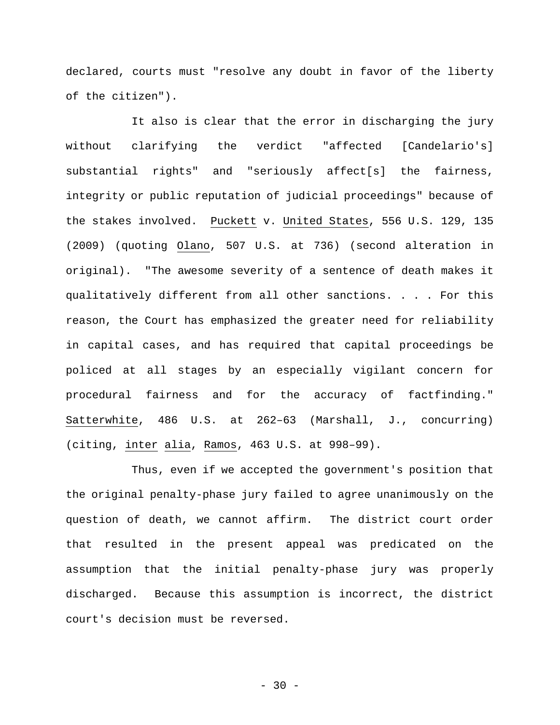declared, courts must "resolve any doubt in favor of the liberty of the citizen").

It also is clear that the error in discharging the jury without clarifying the verdict "affected [Candelario's] substantial rights" and "seriously affect[s] the fairness, integrity or public reputation of judicial proceedings" because of the stakes involved. Puckett v. United States, 556 U.S. 129, 135 (2009) (quoting Olano, 507 U.S. at 736) (second alteration in original). "The awesome severity of a sentence of death makes it qualitatively different from all other sanctions. . . . For this reason, the Court has emphasized the greater need for reliability in capital cases, and has required that capital proceedings be policed at all stages by an especially vigilant concern for procedural fairness and for the accuracy of factfinding." Satterwhite, 486 U.S. at 262–63 (Marshall, J., concurring) (citing, inter alia, Ramos, 463 U.S. at 998–99).

Thus, even if we accepted the government's position that the original penalty-phase jury failed to agree unanimously on the question of death, we cannot affirm. The district court order that resulted in the present appeal was predicated on the assumption that the initial penalty-phase jury was properly discharged. Because this assumption is incorrect, the district court's decision must be reversed.